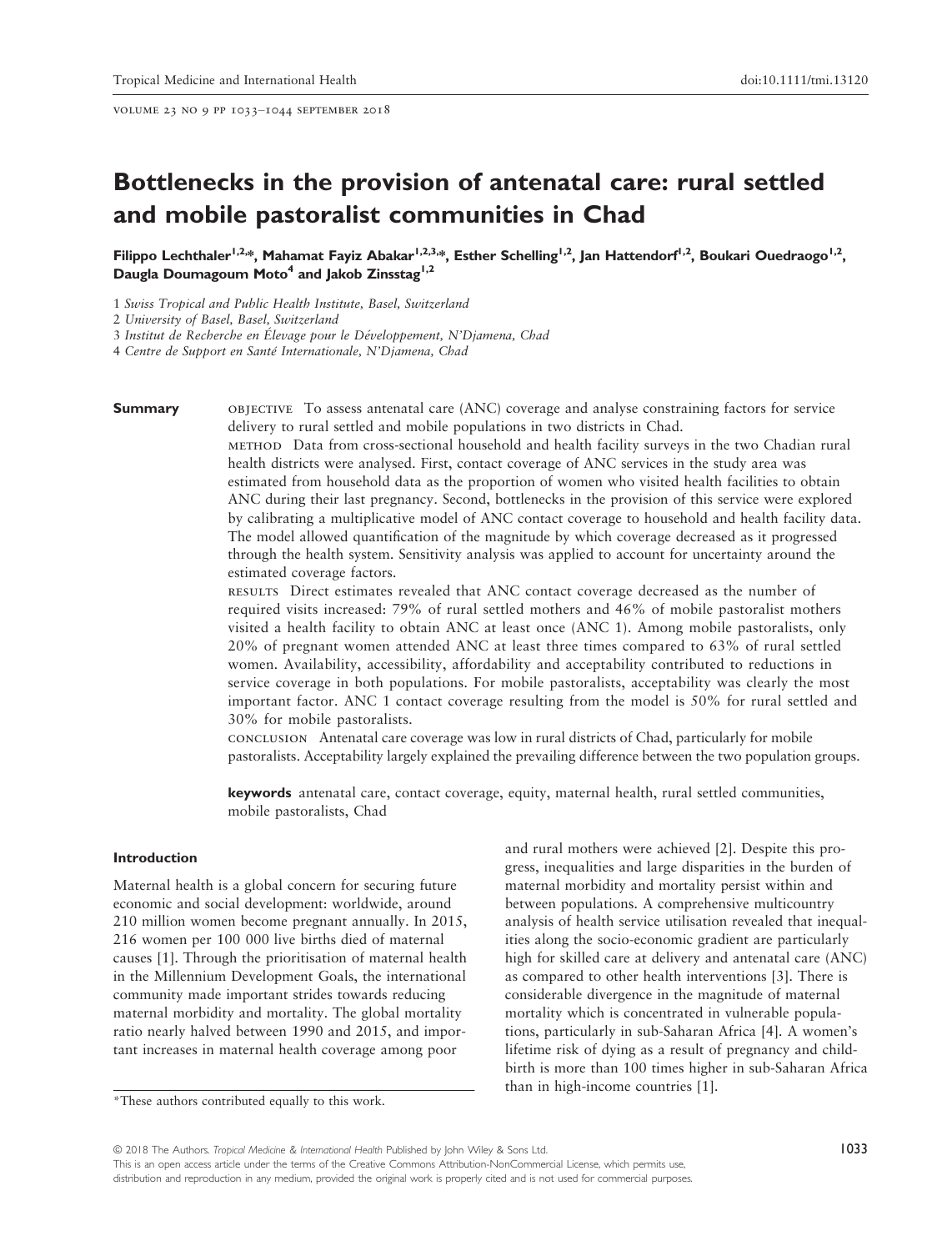volume 23 no 9 pp 1033–1044 september 2018

# Bottlenecks in the provision of antenatal care: rural settled and mobile pastoralist communities in Chad

Filippo Lechthaler<sup>1,2,\*</sup>, Mahamat Fayiz Abakar<sup>1,2,3,\*</sup>, Esther Schelling<sup>1,2</sup>, Jan Hattendorf<sup>1,2</sup>, Boukari Ouedraogo<sup>1,2</sup>, Daugla Doumagoum Moto<sup>4</sup> and Jakob Zinsstag<sup>1,2</sup>

1 Swiss Tropical and Public Health Institute, Basel, Switzerland

2 University of Basel, Basel, Switzerland

3 Institut de Recherche en Élevage pour le Développement, N'Djamena, Chad

4 Centre de Support en Sante Internationale, N'Djamena, Chad

**Summary OBJECTIVE** To assess antenatal care (ANC) coverage and analyse constraining factors for service delivery to rural settled and mobile populations in two districts in Chad.

> method Data from cross-sectional household and health facility surveys in the two Chadian rural health districts were analysed. First, contact coverage of ANC services in the study area was estimated from household data as the proportion of women who visited health facilities to obtain ANC during their last pregnancy. Second, bottlenecks in the provision of this service were explored by calibrating a multiplicative model of ANC contact coverage to household and health facility data. The model allowed quantification of the magnitude by which coverage decreased as it progressed through the health system. Sensitivity analysis was applied to account for uncertainty around the estimated coverage factors.

> results Direct estimates revealed that ANC contact coverage decreased as the number of required visits increased: 79% of rural settled mothers and 46% of mobile pastoralist mothers visited a health facility to obtain ANC at least once (ANC 1). Among mobile pastoralists, only 20% of pregnant women attended ANC at least three times compared to 63% of rural settled women. Availability, accessibility, affordability and acceptability contributed to reductions in service coverage in both populations. For mobile pastoralists, acceptability was clearly the most important factor. ANC 1 contact coverage resulting from the model is 50% for rural settled and 30% for mobile pastoralists.

> conclusion Antenatal care coverage was low in rural districts of Chad, particularly for mobile pastoralists. Acceptability largely explained the prevailing difference between the two population groups.

keywords antenatal care, contact coverage, equity, maternal health, rural settled communities, mobile pastoralists, Chad

# Introduction

Maternal health is a global concern for securing future economic and social development: worldwide, around 210 million women become pregnant annually. In 2015, 216 women per 100 000 live births died of maternal causes [1]. Through the prioritisation of maternal health in the Millennium Development Goals, the international community made important strides towards reducing maternal morbidity and mortality. The global mortality ratio nearly halved between 1990 and 2015, and important increases in maternal health coverage among poor

and rural mothers were achieved [2]. Despite this progress, inequalities and large disparities in the burden of maternal morbidity and mortality persist within and between populations. A comprehensive multicountry analysis of health service utilisation revealed that inequalities along the socio-economic gradient are particularly high for skilled care at delivery and antenatal care (ANC) as compared to other health interventions [3]. There is considerable divergence in the magnitude of maternal mortality which is concentrated in vulnerable populations, particularly in sub-Saharan Africa [4]. A women's lifetime risk of dying as a result of pregnancy and childbirth is more than 100 times higher in sub-Saharan Africa than in high-income countries [1].

© 2018 The Authors. Tropical Medicine & International Health Published by John Wiley & Sons Ltd. 1033 and the U

This is an open access article under the terms of the [Creative Commons Attribution-NonCommercial](http://creativecommons.org/licenses/by-nc/4.0/) License, which permits use, distribution and reproduction in any medium, provided the original work is properly cited and is not used for commercial purposes.

<sup>\*</sup>These authors contributed equally to this work.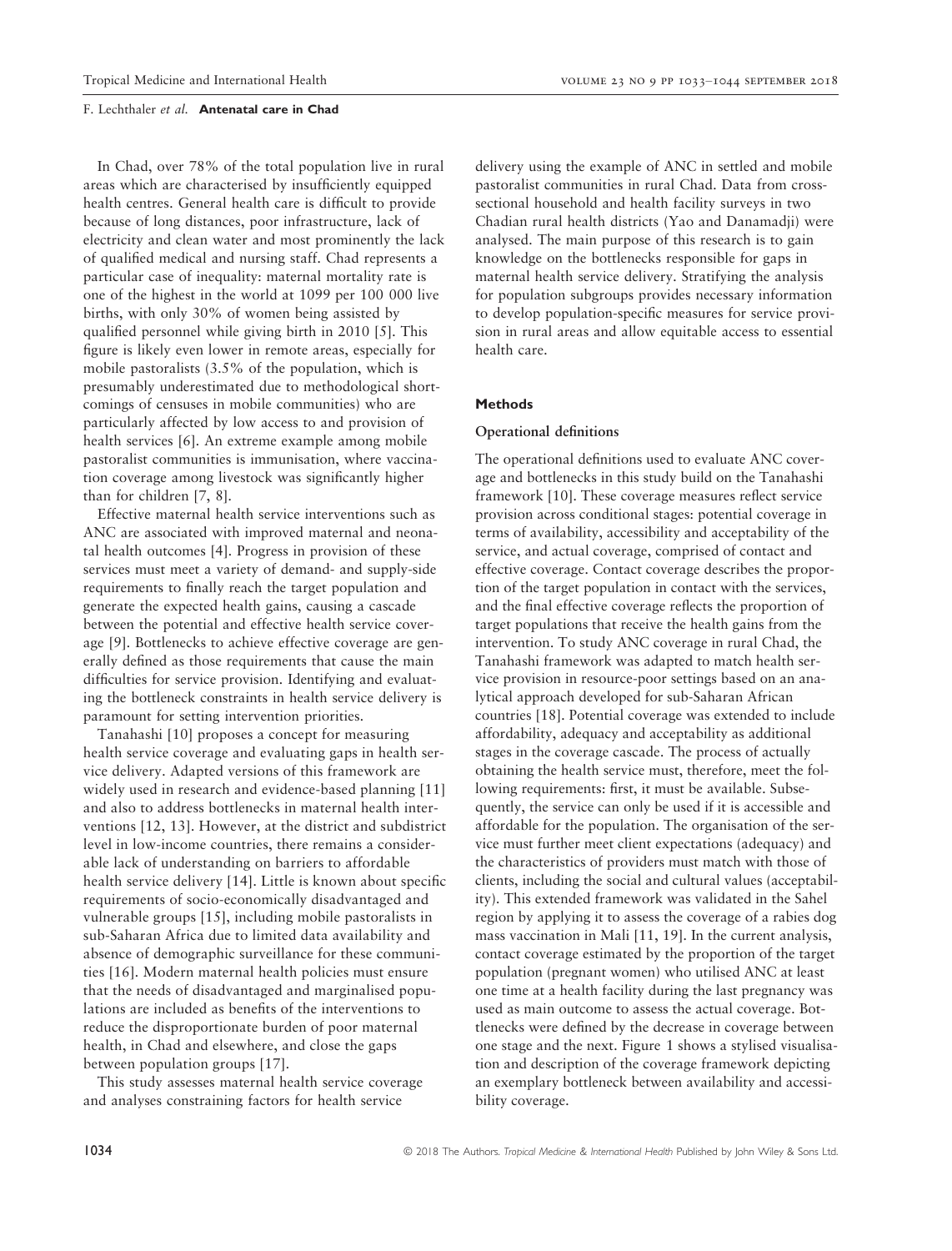In Chad, over 78% of the total population live in rural areas which are characterised by insufficiently equipped health centres. General health care is difficult to provide because of long distances, poor infrastructure, lack of electricity and clean water and most prominently the lack of qualified medical and nursing staff. Chad represents a particular case of inequality: maternal mortality rate is one of the highest in the world at 1099 per 100 000 live births, with only 30% of women being assisted by qualified personnel while giving birth in 2010 [5]. This figure is likely even lower in remote areas, especially for mobile pastoralists (3.5% of the population, which is presumably underestimated due to methodological shortcomings of censuses in mobile communities) who are particularly affected by low access to and provision of health services [6]. An extreme example among mobile pastoralist communities is immunisation, where vaccination coverage among livestock was significantly higher than for children [7, 8].

Effective maternal health service interventions such as ANC are associated with improved maternal and neonatal health outcomes [4]. Progress in provision of these services must meet a variety of demand- and supply-side requirements to finally reach the target population and generate the expected health gains, causing a cascade between the potential and effective health service coverage [9]. Bottlenecks to achieve effective coverage are generally defined as those requirements that cause the main difficulties for service provision. Identifying and evaluating the bottleneck constraints in health service delivery is paramount for setting intervention priorities.

Tanahashi [10] proposes a concept for measuring health service coverage and evaluating gaps in health service delivery. Adapted versions of this framework are widely used in research and evidence-based planning [11] and also to address bottlenecks in maternal health interventions [12, 13]. However, at the district and subdistrict level in low-income countries, there remains a considerable lack of understanding on barriers to affordable health service delivery [14]. Little is known about specific requirements of socio-economically disadvantaged and vulnerable groups [15], including mobile pastoralists in sub-Saharan Africa due to limited data availability and absence of demographic surveillance for these communities [16]. Modern maternal health policies must ensure that the needs of disadvantaged and marginalised populations are included as benefits of the interventions to reduce the disproportionate burden of poor maternal health, in Chad and elsewhere, and close the gaps between population groups [17].

This study assesses maternal health service coverage and analyses constraining factors for health service

delivery using the example of ANC in settled and mobile pastoralist communities in rural Chad. Data from crosssectional household and health facility surveys in two Chadian rural health districts (Yao and Danamadji) were analysed. The main purpose of this research is to gain knowledge on the bottlenecks responsible for gaps in maternal health service delivery. Stratifying the analysis for population subgroups provides necessary information to develop population-specific measures for service provision in rural areas and allow equitable access to essential health care.

# Methods

# Operational definitions

The operational definitions used to evaluate ANC coverage and bottlenecks in this study build on the Tanahashi framework [10]. These coverage measures reflect service provision across conditional stages: potential coverage in terms of availability, accessibility and acceptability of the service, and actual coverage, comprised of contact and effective coverage. Contact coverage describes the proportion of the target population in contact with the services, and the final effective coverage reflects the proportion of target populations that receive the health gains from the intervention. To study ANC coverage in rural Chad, the Tanahashi framework was adapted to match health service provision in resource-poor settings based on an analytical approach developed for sub-Saharan African countries [18]. Potential coverage was extended to include affordability, adequacy and acceptability as additional stages in the coverage cascade. The process of actually obtaining the health service must, therefore, meet the following requirements: first, it must be available. Subsequently, the service can only be used if it is accessible and affordable for the population. The organisation of the service must further meet client expectations (adequacy) and the characteristics of providers must match with those of clients, including the social and cultural values (acceptability). This extended framework was validated in the Sahel region by applying it to assess the coverage of a rabies dog mass vaccination in Mali [11, 19]. In the current analysis, contact coverage estimated by the proportion of the target population (pregnant women) who utilised ANC at least one time at a health facility during the last pregnancy was used as main outcome to assess the actual coverage. Bottlenecks were defined by the decrease in coverage between one stage and the next. Figure 1 shows a stylised visualisation and description of the coverage framework depicting an exemplary bottleneck between availability and accessibility coverage.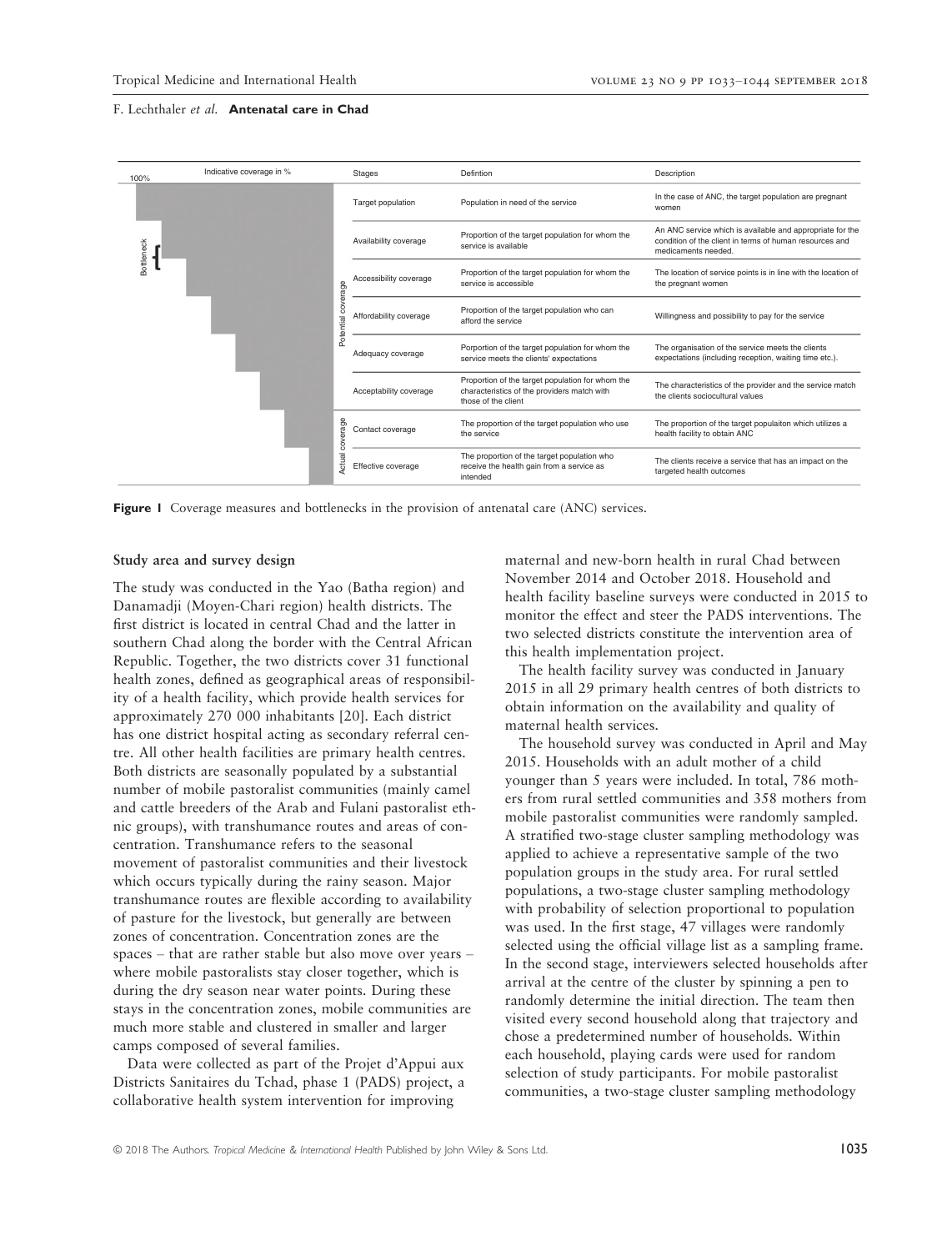| 100%       | Indicative coverage in % |                    | <b>Stages</b>          | Defintion                                                                                                              | Description                                                                                                                                 |                                                                                                             |
|------------|--------------------------|--------------------|------------------------|------------------------------------------------------------------------------------------------------------------------|---------------------------------------------------------------------------------------------------------------------------------------------|-------------------------------------------------------------------------------------------------------------|
|            |                          |                    | Target population      | Population in need of the service                                                                                      | In the case of ANC, the target population are pregnant<br>women                                                                             |                                                                                                             |
| Bottleneck |                          |                    | Availability coverage  | Proportion of the target population for whom the<br>service is available                                               | An ANC service which is available and appropriate for the<br>condition of the client in terms of human resources and<br>medicaments needed. |                                                                                                             |
|            |                          |                    | Accessibility coverage | Proportion of the target population for whom the<br>service is accessible                                              | The location of service points is in line with the location of<br>the pregnant women                                                        |                                                                                                             |
|            |                          | Potential coverage | Affordability coverage | Proportion of the target population who can<br>afford the service                                                      | Willingness and possibility to pay for the service                                                                                          |                                                                                                             |
|            |                          |                    |                        | Adequacy coverage                                                                                                      | Porportion of the target population for whom the<br>service meets the clients' expectations                                                 | The organisation of the service meets the clients<br>expectations (including reception, waiting time etc.). |
|            |                          |                    | Acceptability coverage | Proportion of the target population for whom the<br>characteristics of the providers match with<br>those of the client | The characteristics of the provider and the service match<br>the clients sociocultural values                                               |                                                                                                             |
|            |                          | coverage           | Contact coverage       | The proportion of the target population who use<br>the service                                                         | The proportion of the target populaiton which utilizes a<br>health facility to obtain ANC                                                   |                                                                                                             |
|            |                          | Actual             | Effective coverage     | The proportion of the target population who<br>receive the health gain from a service as<br>intended                   | The clients receive a service that has an impact on the<br>targeted health outcomes                                                         |                                                                                                             |

**Figure 1** Coverage measures and bottlenecks in the provision of antenatal care (ANC) services.

# Study area and survey design

The study was conducted in the Yao (Batha region) and Danamadji (Moyen-Chari region) health districts. The first district is located in central Chad and the latter in southern Chad along the border with the Central African Republic. Together, the two districts cover 31 functional health zones, defined as geographical areas of responsibility of a health facility, which provide health services for approximately 270 000 inhabitants [20]. Each district has one district hospital acting as secondary referral centre. All other health facilities are primary health centres. Both districts are seasonally populated by a substantial number of mobile pastoralist communities (mainly camel and cattle breeders of the Arab and Fulani pastoralist ethnic groups), with transhumance routes and areas of concentration. Transhumance refers to the seasonal movement of pastoralist communities and their livestock which occurs typically during the rainy season. Major transhumance routes are flexible according to availability of pasture for the livestock, but generally are between zones of concentration. Concentration zones are the spaces – that are rather stable but also move over years – where mobile pastoralists stay closer together, which is during the dry season near water points. During these stays in the concentration zones, mobile communities are much more stable and clustered in smaller and larger camps composed of several families.

Data were collected as part of the Projet d'Appui aux Districts Sanitaires du Tchad, phase 1 (PADS) project, a collaborative health system intervention for improving

maternal and new-born health in rural Chad between November 2014 and October 2018. Household and health facility baseline surveys were conducted in 2015 to monitor the effect and steer the PADS interventions. The two selected districts constitute the intervention area of this health implementation project.

The health facility survey was conducted in January 2015 in all 29 primary health centres of both districts to obtain information on the availability and quality of maternal health services.

The household survey was conducted in April and May 2015. Households with an adult mother of a child younger than 5 years were included. In total, 786 mothers from rural settled communities and 358 mothers from mobile pastoralist communities were randomly sampled. A stratified two-stage cluster sampling methodology was applied to achieve a representative sample of the two population groups in the study area. For rural settled populations, a two-stage cluster sampling methodology with probability of selection proportional to population was used. In the first stage, 47 villages were randomly selected using the official village list as a sampling frame. In the second stage, interviewers selected households after arrival at the centre of the cluster by spinning a pen to randomly determine the initial direction. The team then visited every second household along that trajectory and chose a predetermined number of households. Within each household, playing cards were used for random selection of study participants. For mobile pastoralist communities, a two-stage cluster sampling methodology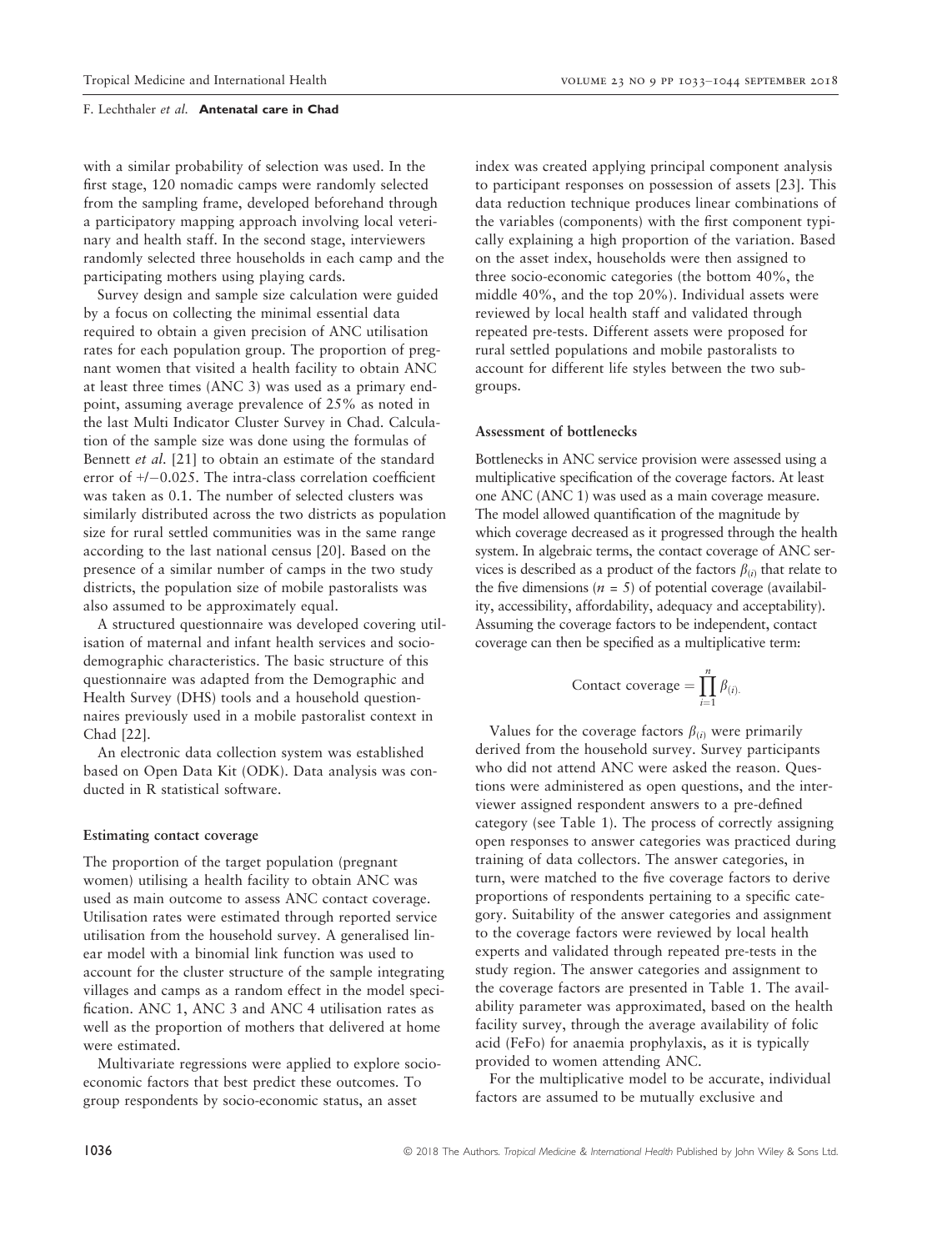with a similar probability of selection was used. In the first stage, 120 nomadic camps were randomly selected from the sampling frame, developed beforehand through a participatory mapping approach involving local veterinary and health staff. In the second stage, interviewers randomly selected three households in each camp and the participating mothers using playing cards.

Survey design and sample size calculation were guided by a focus on collecting the minimal essential data required to obtain a given precision of ANC utilisation rates for each population group. The proportion of pregnant women that visited a health facility to obtain ANC at least three times (ANC 3) was used as a primary endpoint, assuming average prevalence of 25% as noted in the last Multi Indicator Cluster Survey in Chad. Calculation of the sample size was done using the formulas of Bennett et al. [21] to obtain an estimate of the standard error of  $+/-0.025$ . The intra-class correlation coefficient was taken as 0.1. The number of selected clusters was similarly distributed across the two districts as population size for rural settled communities was in the same range according to the last national census [20]. Based on the presence of a similar number of camps in the two study districts, the population size of mobile pastoralists was also assumed to be approximately equal.

A structured questionnaire was developed covering utilisation of maternal and infant health services and sociodemographic characteristics. The basic structure of this questionnaire was adapted from the Demographic and Health Survey (DHS) tools and a household questionnaires previously used in a mobile pastoralist context in Chad [22].

An electronic data collection system was established based on Open Data Kit (ODK). Data analysis was conducted in R statistical software.

# Estimating contact coverage

The proportion of the target population (pregnant women) utilising a health facility to obtain ANC was used as main outcome to assess ANC contact coverage. Utilisation rates were estimated through reported service utilisation from the household survey. A generalised linear model with a binomial link function was used to account for the cluster structure of the sample integrating villages and camps as a random effect in the model specification. ANC 1, ANC 3 and ANC 4 utilisation rates as well as the proportion of mothers that delivered at home were estimated.

Multivariate regressions were applied to explore socioeconomic factors that best predict these outcomes. To group respondents by socio-economic status, an asset

index was created applying principal component analysis to participant responses on possession of assets [23]. This data reduction technique produces linear combinations of the variables (components) with the first component typically explaining a high proportion of the variation. Based on the asset index, households were then assigned to three socio-economic categories (the bottom 40%, the middle 40%, and the top 20%). Individual assets were reviewed by local health staff and validated through repeated pre-tests. Different assets were proposed for rural settled populations and mobile pastoralists to account for different life styles between the two subgroups.

# Assessment of bottlenecks

Bottlenecks in ANC service provision were assessed using a multiplicative specification of the coverage factors. At least one ANC (ANC 1) was used as a main coverage measure. The model allowed quantification of the magnitude by which coverage decreased as it progressed through the health system. In algebraic terms, the contact coverage of ANC services is described as a product of the factors  $\beta_{(i)}$  that relate to the five dimensions  $(n = 5)$  of potential coverage (availability, accessibility, affordability, adequacy and acceptability). Assuming the coverage factors to be independent, contact coverage can then be specified as a multiplicative term:

$$
Context coverage = \prod_{i=1}^{n} \beta_{(i)}.
$$

Values for the coverage factors  $\beta_{(i)}$  were primarily derived from the household survey. Survey participants who did not attend ANC were asked the reason. Questions were administered as open questions, and the interviewer assigned respondent answers to a pre-defined category (see Table 1). The process of correctly assigning open responses to answer categories was practiced during training of data collectors. The answer categories, in turn, were matched to the five coverage factors to derive proportions of respondents pertaining to a specific category. Suitability of the answer categories and assignment to the coverage factors were reviewed by local health experts and validated through repeated pre-tests in the study region. The answer categories and assignment to the coverage factors are presented in Table 1. The availability parameter was approximated, based on the health facility survey, through the average availability of folic acid (FeFo) for anaemia prophylaxis, as it is typically provided to women attending ANC.

For the multiplicative model to be accurate, individual factors are assumed to be mutually exclusive and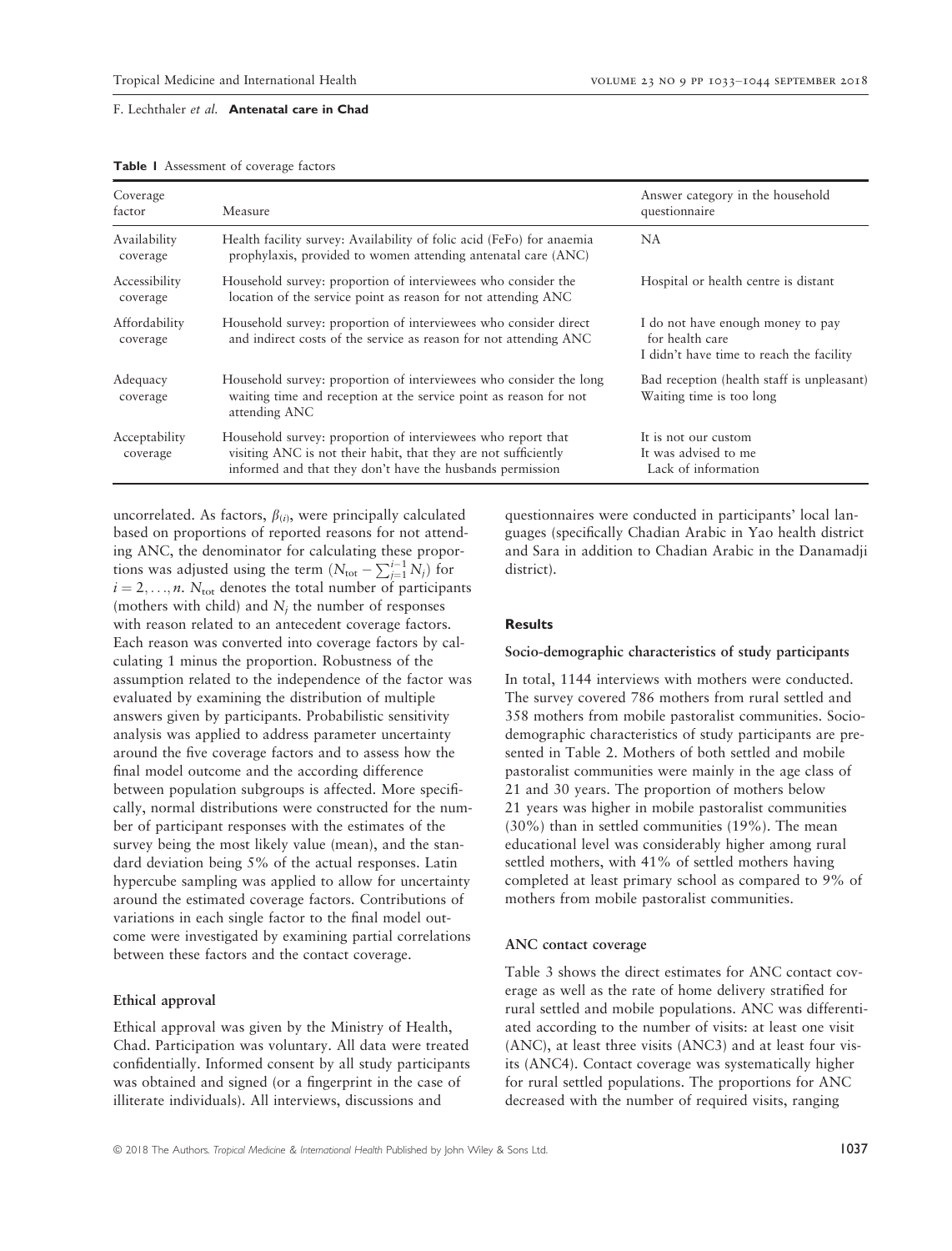| Table I Assessment of coverage factors |  |  |  |
|----------------------------------------|--|--|--|
|----------------------------------------|--|--|--|

| Coverage<br>factor        | Measure                                                                                                                                                                                      | Answer category in the household<br>questionnaire                                                |
|---------------------------|----------------------------------------------------------------------------------------------------------------------------------------------------------------------------------------------|--------------------------------------------------------------------------------------------------|
| Availability<br>coverage  | Health facility survey: Availability of folic acid (FeFo) for anaemia<br>prophylaxis, provided to women attending antenatal care (ANC)                                                       | NA                                                                                               |
| Accessibility<br>coverage | Household survey: proportion of interviewees who consider the<br>location of the service point as reason for not attending ANC                                                               | Hospital or health centre is distant                                                             |
| Affordability<br>coverage | Household survey: proportion of interviewees who consider direct<br>and indirect costs of the service as reason for not attending ANC                                                        | I do not have enough money to pay<br>for health care<br>I didn't have time to reach the facility |
| Adequacy<br>coverage      | Household survey: proportion of interviewees who consider the long<br>waiting time and reception at the service point as reason for not<br>attending ANC                                     | Bad reception (health staff is unpleasant)<br>Waiting time is too long                           |
| Acceptability<br>coverage | Household survey: proportion of interviewees who report that<br>visiting ANC is not their habit, that they are not sufficiently<br>informed and that they don't have the husbands permission | It is not our custom<br>It was advised to me<br>Lack of information                              |

uncorrelated. As factors,  $\beta_{(i)}$ , were principally calculated based on proportions of reported reasons for not attending ANC, the denominator for calculating these proportions was adjusted using the term  $(N_{\text{tot}} - \sum_{j=1}^{i-1} N_j)$  for  $i = 2, \ldots, n$ . N<sub>tot</sub> denotes the total number of participants (mothers with child) and  $N_i$  the number of responses with reason related to an antecedent coverage factors. Each reason was converted into coverage factors by calculating 1 minus the proportion. Robustness of the assumption related to the independence of the factor was evaluated by examining the distribution of multiple answers given by participants. Probabilistic sensitivity analysis was applied to address parameter uncertainty around the five coverage factors and to assess how the final model outcome and the according difference between population subgroups is affected. More specifically, normal distributions were constructed for the number of participant responses with the estimates of the survey being the most likely value (mean), and the standard deviation being 5% of the actual responses. Latin hypercube sampling was applied to allow for uncertainty around the estimated coverage factors. Contributions of variations in each single factor to the final model outcome were investigated by examining partial correlations between these factors and the contact coverage.

# Ethical approval

Ethical approval was given by the Ministry of Health, Chad. Participation was voluntary. All data were treated confidentially. Informed consent by all study participants was obtained and signed (or a fingerprint in the case of illiterate individuals). All interviews, discussions and

questionnaires were conducted in participants' local languages (specifically Chadian Arabic in Yao health district and Sara in addition to Chadian Arabic in the Danamadji district).

#### **Results**

# Socio-demographic characteristics of study participants

In total, 1144 interviews with mothers were conducted. The survey covered 786 mothers from rural settled and 358 mothers from mobile pastoralist communities. Sociodemographic characteristics of study participants are presented in Table 2. Mothers of both settled and mobile pastoralist communities were mainly in the age class of 21 and 30 years. The proportion of mothers below 21 years was higher in mobile pastoralist communities (30%) than in settled communities (19%). The mean educational level was considerably higher among rural settled mothers, with 41% of settled mothers having completed at least primary school as compared to 9% of mothers from mobile pastoralist communities.

# ANC contact coverage

Table 3 shows the direct estimates for ANC contact coverage as well as the rate of home delivery stratified for rural settled and mobile populations. ANC was differentiated according to the number of visits: at least one visit (ANC), at least three visits (ANC3) and at least four visits (ANC4). Contact coverage was systematically higher for rural settled populations. The proportions for ANC decreased with the number of required visits, ranging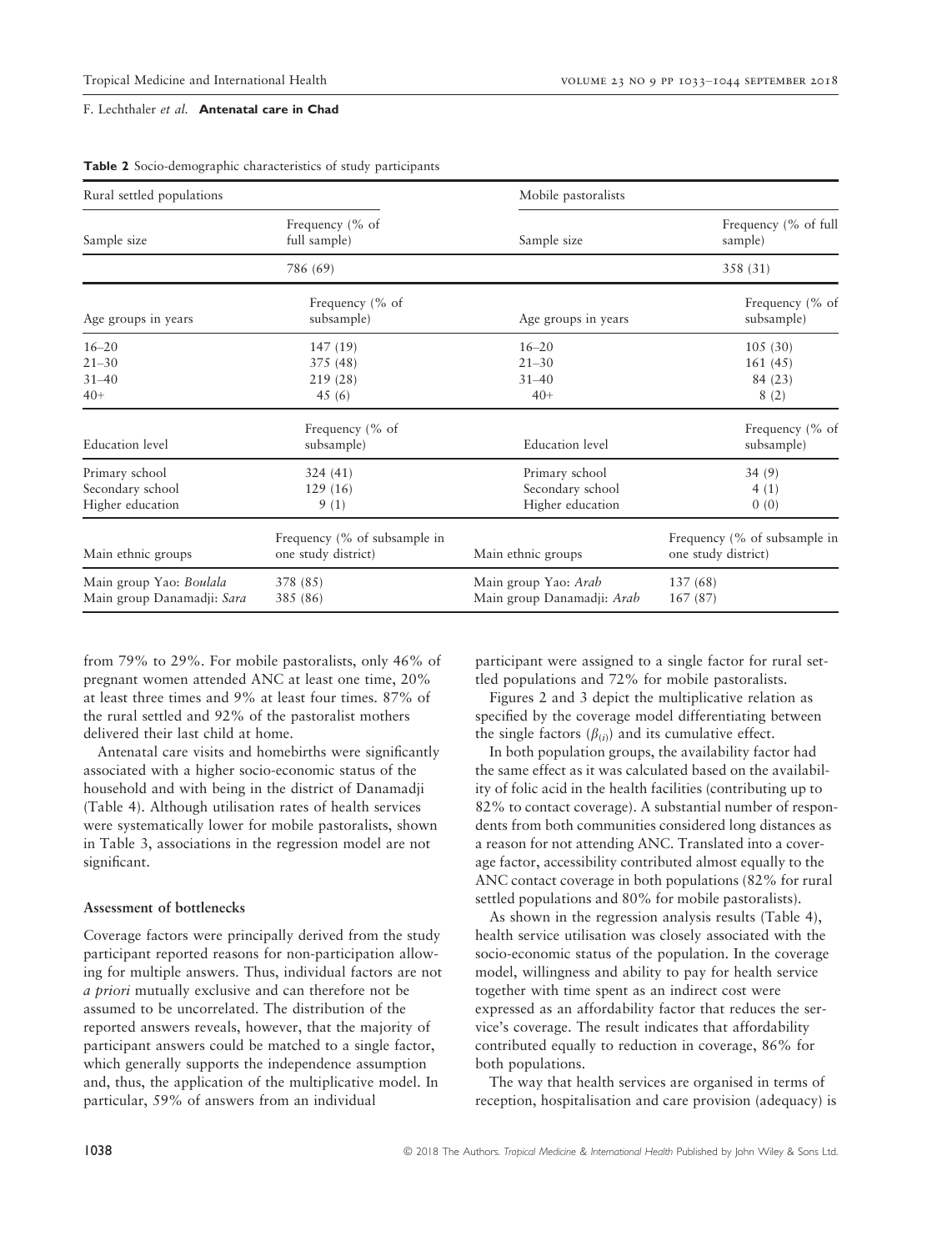| Rural settled populations  |                                                     | Mobile pastoralists        |                                                     |  |  |
|----------------------------|-----------------------------------------------------|----------------------------|-----------------------------------------------------|--|--|
| Sample size                | Frequency (% of<br>full sample)                     | Sample size                | Frequency (% of full<br>sample)                     |  |  |
|                            | 786 (69)                                            |                            | 358 (31)                                            |  |  |
| Age groups in years        | Frequency (% of<br>subsample)                       | Age groups in years        | Frequency (% of<br>subsample)                       |  |  |
| $16 - 20$                  | 147 (19)                                            | $16 - 20$                  | 105(30)                                             |  |  |
| $21 - 30$                  | 375 (48)                                            | $21 - 30$                  | 161(45)                                             |  |  |
| $31 - 40$                  | 219(28)                                             | $31 - 40$                  | 84 (23)                                             |  |  |
| $40+$                      | 45(6)                                               | $40+$                      | 8(2)                                                |  |  |
|                            | Frequency (% of                                     |                            | Frequency $\frac{6}{6}$ of                          |  |  |
| <b>Education</b> level     | subsample)                                          | <b>Education</b> level     | subsample)                                          |  |  |
| Primary school             | 324(41)                                             | Primary school             | 34(9)                                               |  |  |
| Secondary school           | 129(16)                                             | Secondary school           | 4(1)                                                |  |  |
| Higher education           | 9(1)                                                | Higher education           | 0(0)                                                |  |  |
| Main ethnic groups         | Frequency (% of subsample in<br>one study district) | Main ethnic groups         | Frequency (% of subsample in<br>one study district) |  |  |
| Main group Yao: Boulala    | 378 (85)                                            | Main group Yao: Arab       | 137 (68)                                            |  |  |
| Main group Danamadji: Sara | 385 (86)                                            | Main group Danamadji: Arab | 167(87)                                             |  |  |

|  |  |  |  | <b>Table 2</b> Socio-demographic characteristics of study participants |  |  |  |
|--|--|--|--|------------------------------------------------------------------------|--|--|--|
|--|--|--|--|------------------------------------------------------------------------|--|--|--|

from 79% to 29%. For mobile pastoralists, only 46% of pregnant women attended ANC at least one time, 20% at least three times and 9% at least four times. 87% of the rural settled and 92% of the pastoralist mothers delivered their last child at home.

Antenatal care visits and homebirths were significantly associated with a higher socio-economic status of the household and with being in the district of Danamadji (Table 4). Although utilisation rates of health services were systematically lower for mobile pastoralists, shown in Table 3, associations in the regression model are not significant.

### Assessment of bottlenecks

Coverage factors were principally derived from the study participant reported reasons for non-participation allowing for multiple answers. Thus, individual factors are not a priori mutually exclusive and can therefore not be assumed to be uncorrelated. The distribution of the reported answers reveals, however, that the majority of participant answers could be matched to a single factor, which generally supports the independence assumption and, thus, the application of the multiplicative model. In particular, 59% of answers from an individual

participant were assigned to a single factor for rural settled populations and 72% for mobile pastoralists.

Figures 2 and 3 depict the multiplicative relation as specified by the coverage model differentiating between the single factors  $(\beta_{(i)})$  and its cumulative effect.

In both population groups, the availability factor had the same effect as it was calculated based on the availability of folic acid in the health facilities (contributing up to 82% to contact coverage). A substantial number of respondents from both communities considered long distances as a reason for not attending ANC. Translated into a coverage factor, accessibility contributed almost equally to the ANC contact coverage in both populations (82% for rural settled populations and 80% for mobile pastoralists).

As shown in the regression analysis results (Table 4), health service utilisation was closely associated with the socio-economic status of the population. In the coverage model, willingness and ability to pay for health service together with time spent as an indirect cost were expressed as an affordability factor that reduces the service's coverage. The result indicates that affordability contributed equally to reduction in coverage, 86% for both populations.

The way that health services are organised in terms of reception, hospitalisation and care provision (adequacy) is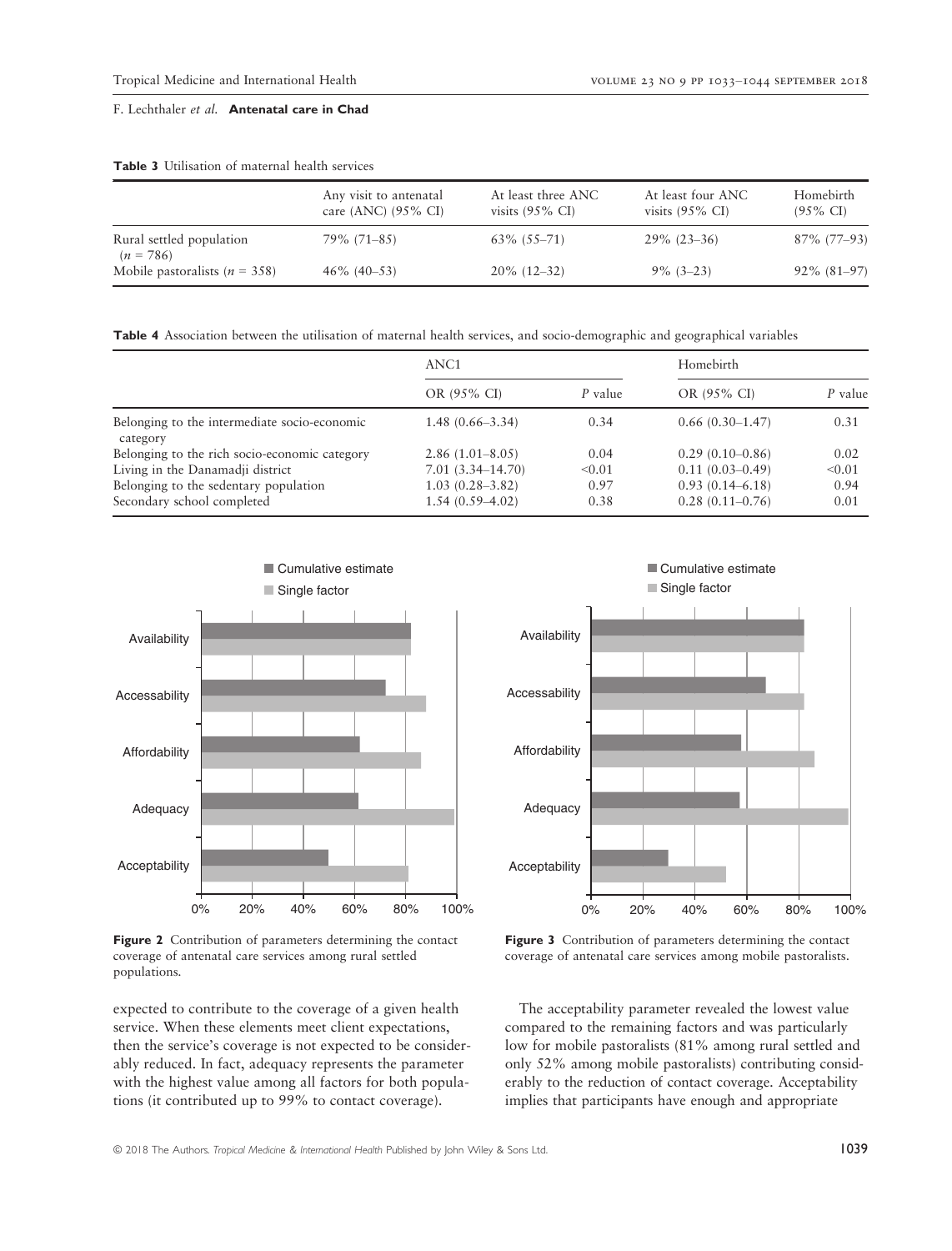| <b>Table 3</b> Utilisation of maternal health services |  |  |  |  |  |
|--------------------------------------------------------|--|--|--|--|--|
|--------------------------------------------------------|--|--|--|--|--|

|                                         | Any visit to antenatal<br>care $(ANC)$ $(95\%$ CI) | At least three ANC<br>visits $(95\% \text{ CI})$ | At least four ANC<br>visits $(95\% \text{ CI})$ | Homebirth<br>$(95\% \text{ CI})$ |
|-----------------------------------------|----------------------------------------------------|--------------------------------------------------|-------------------------------------------------|----------------------------------|
| Rural settled population<br>$(n = 786)$ | 79% (71–85)                                        | $63\%$ $(55-71)$                                 | $29\%$ (23-36)                                  | 87% (77–93)                      |
| Mobile pastoralists ( $n = 358$ )       | $46\%$ (40-53)                                     | $20\%$ (12–32)                                   | $9\%$ (3-23)                                    | $92\%$ (81–97)                   |

Table 4 Association between the utilisation of maternal health services, and socio-demographic and geographical variables

|                                                          | ANC <sub>1</sub>     |         | Homebirth           |         |  |
|----------------------------------------------------------|----------------------|---------|---------------------|---------|--|
|                                                          | OR (95% CI)          | P value | OR (95% CI)         | P value |  |
| Belonging to the intermediate socio-economic<br>category | $1.48(0.66-3.34)$    | 0.34    | $0.66(0.30-1.47)$   | 0.31    |  |
| Belonging to the rich socio-economic category            | $2.86(1.01 - 8.05)$  | 0.04    | $0.29(0.10-0.86)$   | 0.02    |  |
| Living in the Danamadji district                         | $7.01(3.34 - 14.70)$ | < 0.01  | $0.11(0.03 - 0.49)$ | < 0.01  |  |
| Belonging to the sedentary population                    | $1.03(0.28 - 3.82)$  | 0.97    | $0.93(0.14 - 6.18)$ | 0.94    |  |
| Secondary school completed                               | $1.54(0.59 - 4.02)$  | 0.38    | $0.28(0.11-0.76)$   | 0.01    |  |



Figure 2 Contribution of parameters determining the contact coverage of antenatal care services among rural settled populations.

expected to contribute to the coverage of a given health service. When these elements meet client expectations, then the service's coverage is not expected to be considerably reduced. In fact, adequacy represents the parameter with the highest value among all factors for both populations (it contributed up to 99% to contact coverage).



Figure 3 Contribution of parameters determining the contact coverage of antenatal care services among mobile pastoralists.

The acceptability parameter revealed the lowest value compared to the remaining factors and was particularly low for mobile pastoralists (81% among rural settled and only 52% among mobile pastoralists) contributing considerably to the reduction of contact coverage. Acceptability implies that participants have enough and appropriate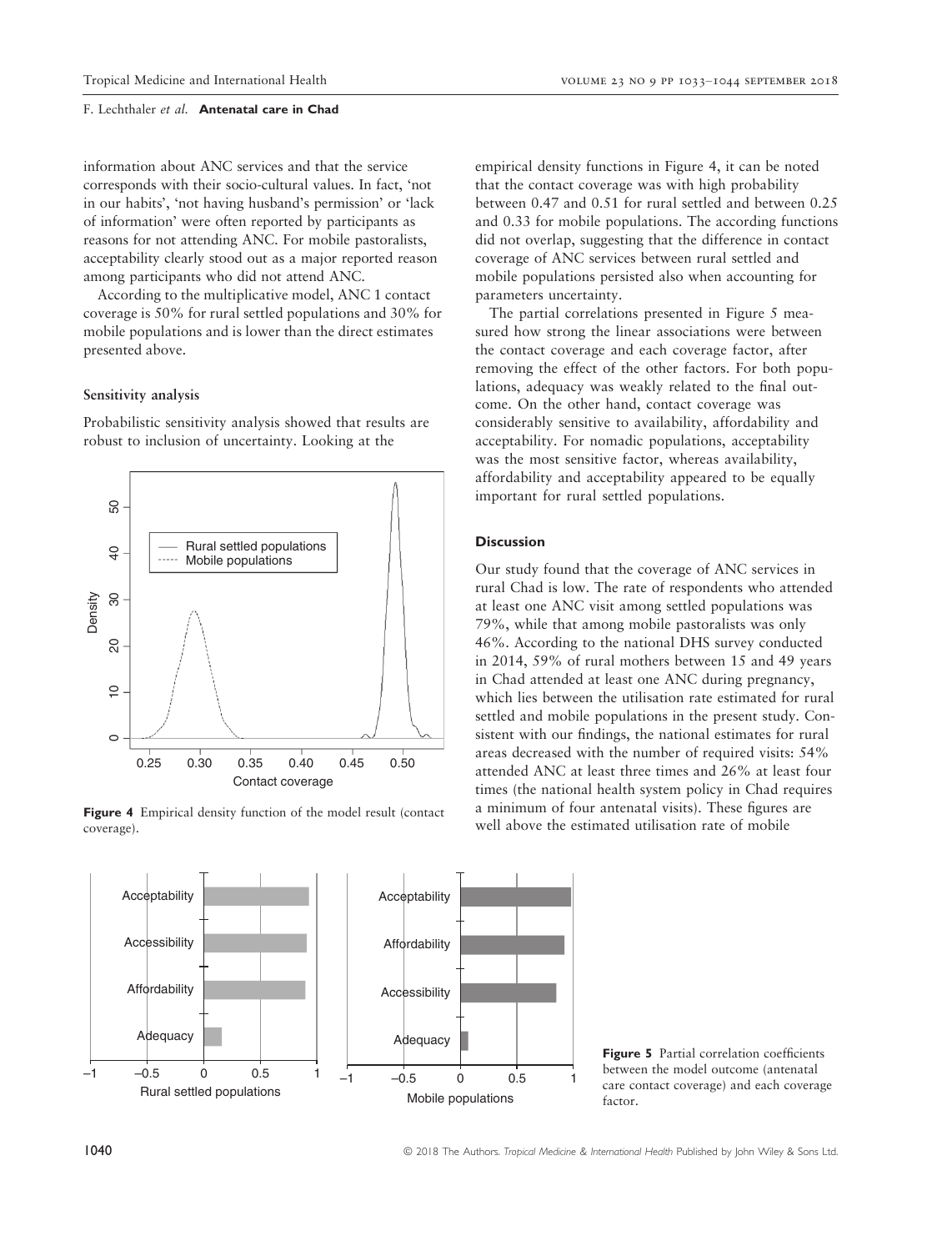information about ANC services and that the service corresponds with their socio-cultural values. In fact, 'not in our habits', 'not having husband's permission' or 'lack of information' were often reported by participants as reasons for not attending ANC. For mobile pastoralists, acceptability clearly stood out as a major reported reason among participants who did not attend ANC.

According to the multiplicative model, ANC 1 contact coverage is 50% for rural settled populations and 30% for mobile populations and is lower than the direct estimates presented above.

# Sensitivity analysis

Probabilistic sensitivity analysis showed that results are robust to inclusion of uncertainty. Looking at the



Figure 4 Empirical density function of the model result (contact coverage).

empirical density functions in Figure 4, it can be noted that the contact coverage was with high probability between 0.47 and 0.51 for rural settled and between 0.25 and 0.33 for mobile populations. The according functions did not overlap, suggesting that the difference in contact coverage of ANC services between rural settled and mobile populations persisted also when accounting for parameters uncertainty.

The partial correlations presented in Figure 5 measured how strong the linear associations were between the contact coverage and each coverage factor, after removing the effect of the other factors. For both populations, adequacy was weakly related to the final outcome. On the other hand, contact coverage was considerably sensitive to availability, affordability and acceptability. For nomadic populations, acceptability was the most sensitive factor, whereas availability, affordability and acceptability appeared to be equally important for rural settled populations.

#### **Discussion**

Our study found that the coverage of ANC services in rural Chad is low. The rate of respondents who attended at least one ANC visit among settled populations was 79%, while that among mobile pastoralists was only 46%. According to the national DHS survey conducted in 2014, 59% of rural mothers between 15 and 49 years in Chad attended at least one ANC during pregnancy, which lies between the utilisation rate estimated for rural settled and mobile populations in the present study. Consistent with our findings, the national estimates for rural areas decreased with the number of required visits: 54% attended ANC at least three times and 26% at least four times (the national health system policy in Chad requires a minimum of four antenatal visits). These figures are well above the estimated utilisation rate of mobile



Figure 5 Partial correlation coefficients between the model outcome (antenatal care contact coverage) and each coverage factor.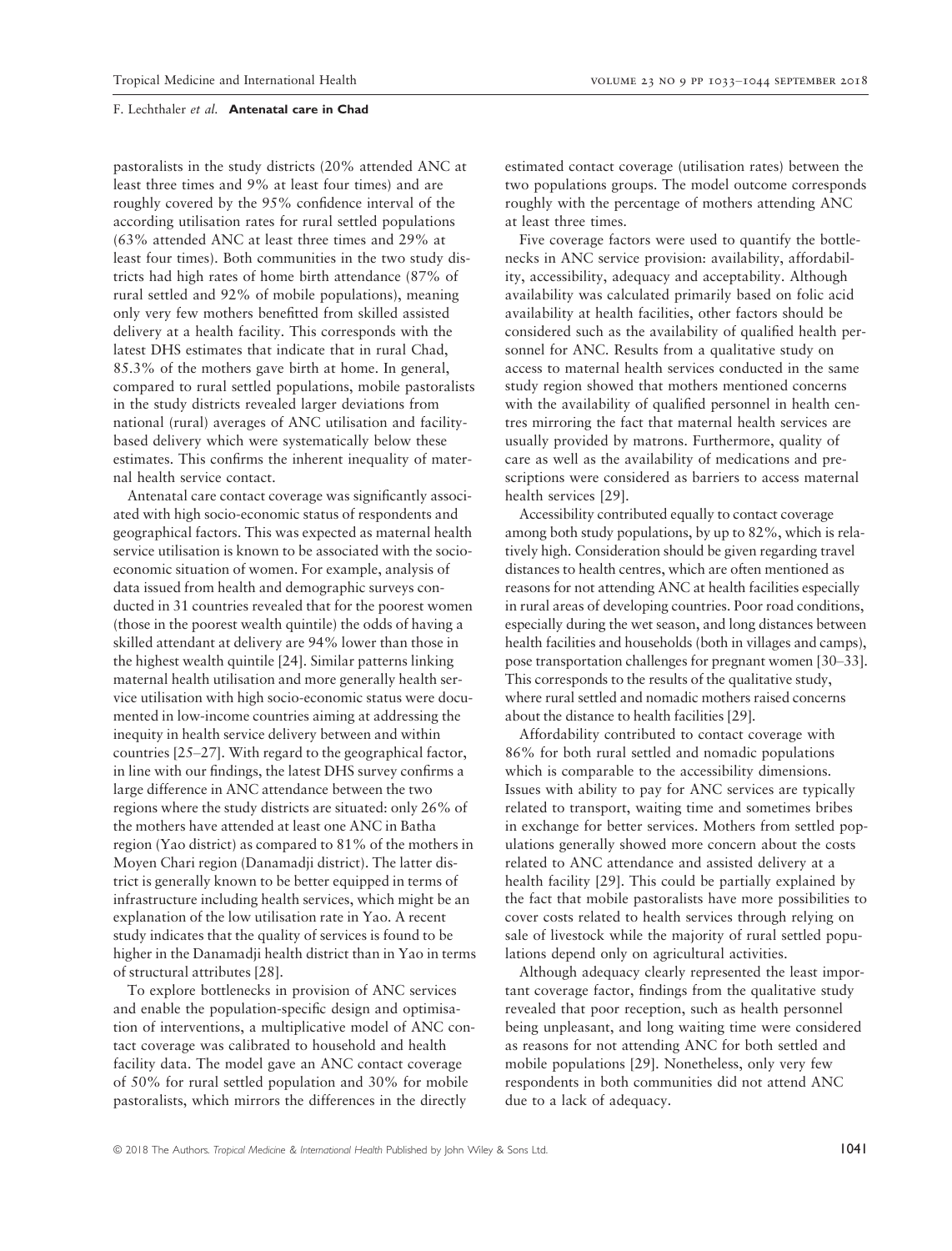pastoralists in the study districts (20% attended ANC at least three times and 9% at least four times) and are roughly covered by the 95% confidence interval of the according utilisation rates for rural settled populations (63% attended ANC at least three times and 29% at least four times). Both communities in the two study districts had high rates of home birth attendance (87% of rural settled and 92% of mobile populations), meaning only very few mothers benefitted from skilled assisted delivery at a health facility. This corresponds with the latest DHS estimates that indicate that in rural Chad, 85.3% of the mothers gave birth at home. In general, compared to rural settled populations, mobile pastoralists in the study districts revealed larger deviations from national (rural) averages of ANC utilisation and facilitybased delivery which were systematically below these estimates. This confirms the inherent inequality of maternal health service contact.

Antenatal care contact coverage was significantly associated with high socio-economic status of respondents and geographical factors. This was expected as maternal health service utilisation is known to be associated with the socioeconomic situation of women. For example, analysis of data issued from health and demographic surveys conducted in 31 countries revealed that for the poorest women (those in the poorest wealth quintile) the odds of having a skilled attendant at delivery are 94% lower than those in the highest wealth quintile [24]. Similar patterns linking maternal health utilisation and more generally health service utilisation with high socio-economic status were documented in low-income countries aiming at addressing the inequity in health service delivery between and within countries [25–27]. With regard to the geographical factor, in line with our findings, the latest DHS survey confirms a large difference in ANC attendance between the two regions where the study districts are situated: only 26% of the mothers have attended at least one ANC in Batha region (Yao district) as compared to 81% of the mothers in Moyen Chari region (Danamadji district). The latter district is generally known to be better equipped in terms of infrastructure including health services, which might be an explanation of the low utilisation rate in Yao. A recent study indicates that the quality of services is found to be higher in the Danamadji health district than in Yao in terms of structural attributes [28].

To explore bottlenecks in provision of ANC services and enable the population-specific design and optimisation of interventions, a multiplicative model of ANC contact coverage was calibrated to household and health facility data. The model gave an ANC contact coverage of 50% for rural settled population and 30% for mobile pastoralists, which mirrors the differences in the directly

estimated contact coverage (utilisation rates) between the two populations groups. The model outcome corresponds roughly with the percentage of mothers attending ANC at least three times.

Five coverage factors were used to quantify the bottlenecks in ANC service provision: availability, affordability, accessibility, adequacy and acceptability. Although availability was calculated primarily based on folic acid availability at health facilities, other factors should be considered such as the availability of qualified health personnel for ANC. Results from a qualitative study on access to maternal health services conducted in the same study region showed that mothers mentioned concerns with the availability of qualified personnel in health centres mirroring the fact that maternal health services are usually provided by matrons. Furthermore, quality of care as well as the availability of medications and prescriptions were considered as barriers to access maternal health services [29].

Accessibility contributed equally to contact coverage among both study populations, by up to 82%, which is relatively high. Consideration should be given regarding travel distances to health centres, which are often mentioned as reasons for not attending ANC at health facilities especially in rural areas of developing countries. Poor road conditions, especially during the wet season, and long distances between health facilities and households (both in villages and camps), pose transportation challenges for pregnant women [30–33]. This corresponds to the results of the qualitative study, where rural settled and nomadic mothers raised concerns about the distance to health facilities [29].

Affordability contributed to contact coverage with 86% for both rural settled and nomadic populations which is comparable to the accessibility dimensions. Issues with ability to pay for ANC services are typically related to transport, waiting time and sometimes bribes in exchange for better services. Mothers from settled populations generally showed more concern about the costs related to ANC attendance and assisted delivery at a health facility [29]. This could be partially explained by the fact that mobile pastoralists have more possibilities to cover costs related to health services through relying on sale of livestock while the majority of rural settled populations depend only on agricultural activities.

Although adequacy clearly represented the least important coverage factor, findings from the qualitative study revealed that poor reception, such as health personnel being unpleasant, and long waiting time were considered as reasons for not attending ANC for both settled and mobile populations [29]. Nonetheless, only very few respondents in both communities did not attend ANC due to a lack of adequacy.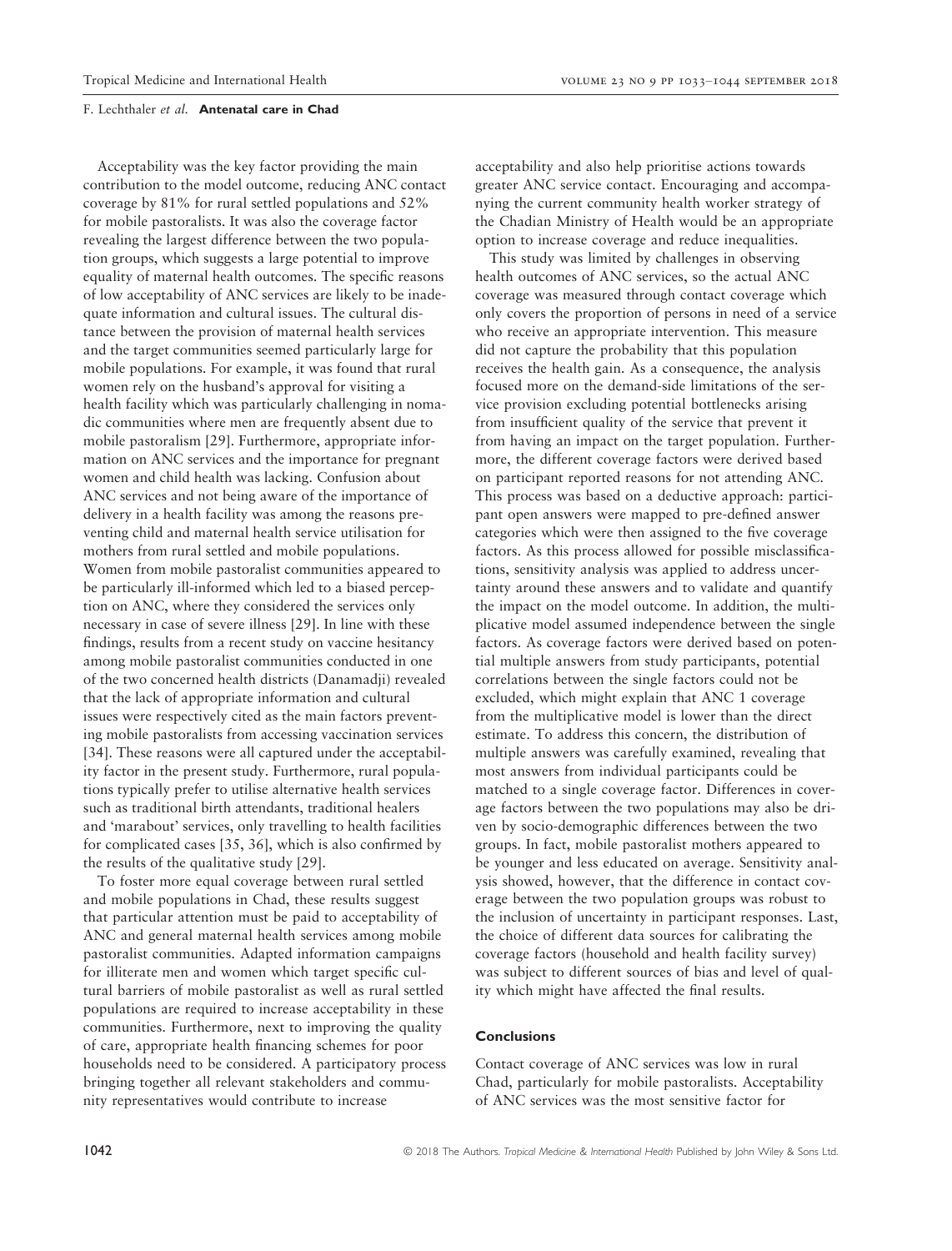Acceptability was the key factor providing the main contribution to the model outcome, reducing ANC contact coverage by 81% for rural settled populations and 52% for mobile pastoralists. It was also the coverage factor revealing the largest difference between the two population groups, which suggests a large potential to improve equality of maternal health outcomes. The specific reasons of low acceptability of ANC services are likely to be inadequate information and cultural issues. The cultural distance between the provision of maternal health services and the target communities seemed particularly large for mobile populations. For example, it was found that rural women rely on the husband's approval for visiting a health facility which was particularly challenging in nomadic communities where men are frequently absent due to mobile pastoralism [29]. Furthermore, appropriate information on ANC services and the importance for pregnant women and child health was lacking. Confusion about ANC services and not being aware of the importance of delivery in a health facility was among the reasons preventing child and maternal health service utilisation for mothers from rural settled and mobile populations. Women from mobile pastoralist communities appeared to be particularly ill-informed which led to a biased perception on ANC, where they considered the services only necessary in case of severe illness [29]. In line with these findings, results from a recent study on vaccine hesitancy among mobile pastoralist communities conducted in one of the two concerned health districts (Danamadji) revealed that the lack of appropriate information and cultural issues were respectively cited as the main factors preventing mobile pastoralists from accessing vaccination services [34]. These reasons were all captured under the acceptability factor in the present study. Furthermore, rural populations typically prefer to utilise alternative health services such as traditional birth attendants, traditional healers and 'marabout' services, only travelling to health facilities for complicated cases [35, 36], which is also confirmed by the results of the qualitative study [29].

To foster more equal coverage between rural settled and mobile populations in Chad, these results suggest that particular attention must be paid to acceptability of ANC and general maternal health services among mobile pastoralist communities. Adapted information campaigns for illiterate men and women which target specific cultural barriers of mobile pastoralist as well as rural settled populations are required to increase acceptability in these communities. Furthermore, next to improving the quality of care, appropriate health financing schemes for poor households need to be considered. A participatory process bringing together all relevant stakeholders and community representatives would contribute to increase

acceptability and also help prioritise actions towards greater ANC service contact. Encouraging and accompanying the current community health worker strategy of the Chadian Ministry of Health would be an appropriate option to increase coverage and reduce inequalities.

This study was limited by challenges in observing health outcomes of ANC services, so the actual ANC coverage was measured through contact coverage which only covers the proportion of persons in need of a service who receive an appropriate intervention. This measure did not capture the probability that this population receives the health gain. As a consequence, the analysis focused more on the demand-side limitations of the service provision excluding potential bottlenecks arising from insufficient quality of the service that prevent it from having an impact on the target population. Furthermore, the different coverage factors were derived based on participant reported reasons for not attending ANC. This process was based on a deductive approach: participant open answers were mapped to pre-defined answer categories which were then assigned to the five coverage factors. As this process allowed for possible misclassifications, sensitivity analysis was applied to address uncertainty around these answers and to validate and quantify the impact on the model outcome. In addition, the multiplicative model assumed independence between the single factors. As coverage factors were derived based on potential multiple answers from study participants, potential correlations between the single factors could not be excluded, which might explain that ANC 1 coverage from the multiplicative model is lower than the direct estimate. To address this concern, the distribution of multiple answers was carefully examined, revealing that most answers from individual participants could be matched to a single coverage factor. Differences in coverage factors between the two populations may also be driven by socio-demographic differences between the two groups. In fact, mobile pastoralist mothers appeared to be younger and less educated on average. Sensitivity analysis showed, however, that the difference in contact coverage between the two population groups was robust to the inclusion of uncertainty in participant responses. Last, the choice of different data sources for calibrating the coverage factors (household and health facility survey) was subject to different sources of bias and level of quality which might have affected the final results.

# Conclusions

Contact coverage of ANC services was low in rural Chad, particularly for mobile pastoralists. Acceptability of ANC services was the most sensitive factor for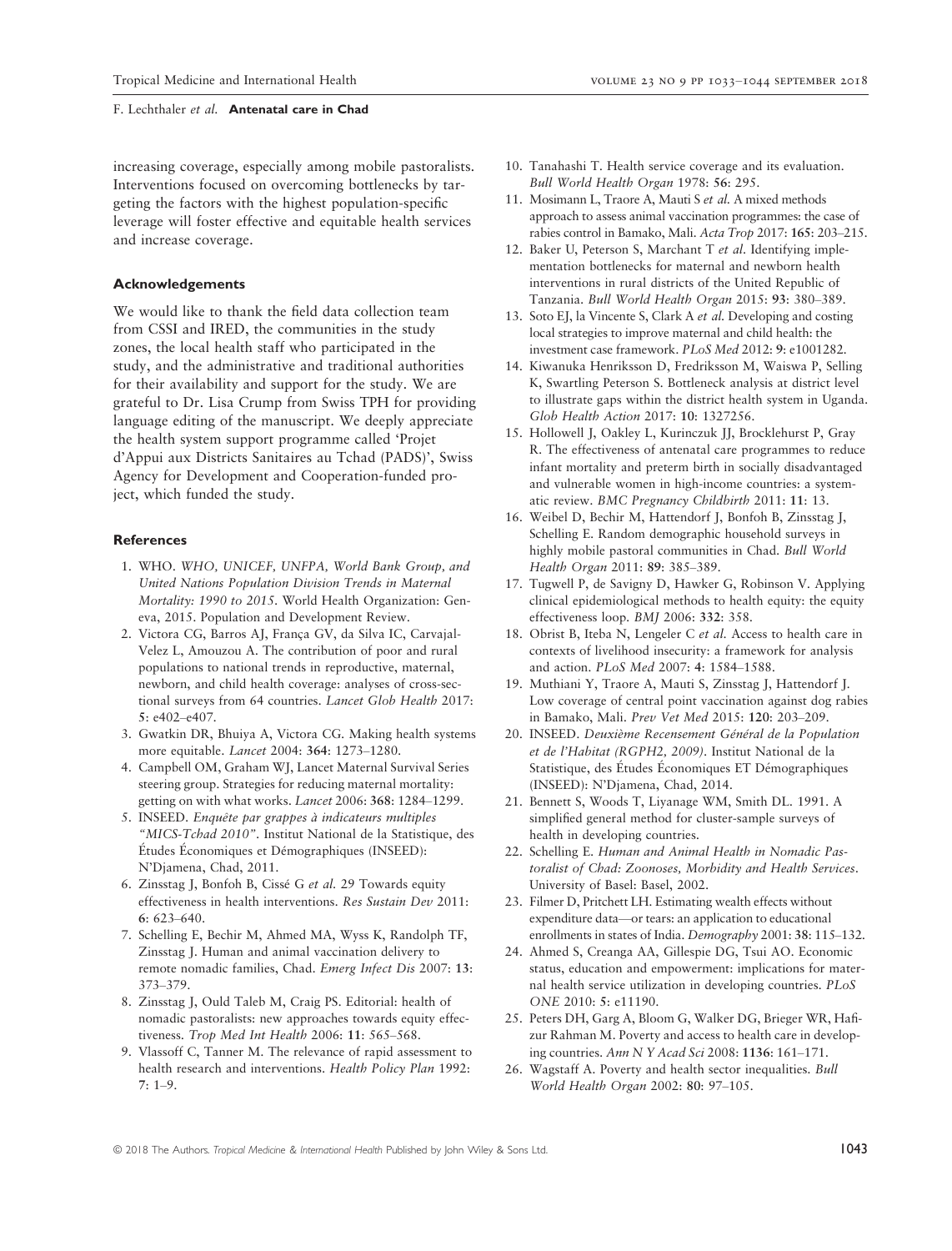increasing coverage, especially among mobile pastoralists. Interventions focused on overcoming bottlenecks by targeting the factors with the highest population-specific leverage will foster effective and equitable health services and increase coverage.

# Acknowledgements

We would like to thank the field data collection team from CSSI and IRED, the communities in the study zones, the local health staff who participated in the study, and the administrative and traditional authorities for their availability and support for the study. We are grateful to Dr. Lisa Crump from Swiss TPH for providing language editing of the manuscript. We deeply appreciate the health system support programme called 'Projet d'Appui aux Districts Sanitaires au Tchad (PADS)', Swiss Agency for Development and Cooperation-funded project, which funded the study.

#### References

- 1. WHO. WHO, UNICEF, UNFPA, World Bank Group, and United Nations Population Division Trends in Maternal Mortality: 1990 to 2015. World Health Organization: Geneva, 2015. Population and Development Review.
- 2. Victora CG, Barros AJ, França GV, da Silva IC, Carvajal-Velez L, Amouzou A. The contribution of poor and rural populations to national trends in reproductive, maternal, newborn, and child health coverage: analyses of cross-sectional surveys from 64 countries. Lancet Glob Health 2017: 5: e402–e407.
- 3. Gwatkin DR, Bhuiya A, Victora CG. Making health systems more equitable. Lancet 2004: 364: 1273–1280.
- 4. Campbell OM, Graham WJ, Lancet Maternal Survival Series steering group. Strategies for reducing maternal mortality: getting on with what works. Lancet 2006: 368: 1284–1299.
- 5. INSEED. Enquête par grappes à indicateurs multiples "MICS-Tchad 2010". Institut National de la Statistique, des Études Économiques et Démographiques (INSEED): N'Djamena, Chad, 2011.
- 6. Zinsstag J, Bonfoh B, Cissé G et al. 29 Towards equity effectiveness in health interventions. Res Sustain Dev 2011: 6: 623–640.
- 7. Schelling E, Bechir M, Ahmed MA, Wyss K, Randolph TF, Zinsstag J. Human and animal vaccination delivery to remote nomadic families, Chad. Emerg Infect Dis 2007: 13: 373–379.
- 8. Zinsstag J, Ould Taleb M, Craig PS. Editorial: health of nomadic pastoralists: new approaches towards equity effectiveness. Trop Med Int Health 2006: 11: 565–568.
- 9. Vlassoff C, Tanner M. The relevance of rapid assessment to health research and interventions. Health Policy Plan 1992: 7: 1–9.
- 10. Tanahashi T. Health service coverage and its evaluation. Bull World Health Organ 1978: 56: 295.
- 11. Mosimann L, Traore A, Mauti S et al. A mixed methods approach to assess animal vaccination programmes: the case of rabies control in Bamako, Mali. Acta Trop 2017: 165: 203–215.
- 12. Baker U, Peterson S, Marchant T et al. Identifying implementation bottlenecks for maternal and newborn health interventions in rural districts of the United Republic of Tanzania. Bull World Health Organ 2015: 93: 380–389.
- 13. Soto EJ, la Vincente S, Clark A et al. Developing and costing local strategies to improve maternal and child health: the investment case framework. PLoS Med 2012: 9: e1001282.
- 14. Kiwanuka Henriksson D, Fredriksson M, Waiswa P, Selling K, Swartling Peterson S. Bottleneck analysis at district level to illustrate gaps within the district health system in Uganda. Glob Health Action 2017: 10: 1327256.
- 15. Hollowell J, Oakley L, Kurinczuk JJ, Brocklehurst P, Gray R. The effectiveness of antenatal care programmes to reduce infant mortality and preterm birth in socially disadvantaged and vulnerable women in high-income countries: a systematic review. BMC Pregnancy Childbirth 2011: 11: 13.
- 16. Weibel D, Bechir M, Hattendorf J, Bonfoh B, Zinsstag J, Schelling E. Random demographic household surveys in highly mobile pastoral communities in Chad. Bull World Health Organ 2011: 89: 385–389.
- 17. Tugwell P, de Savigny D, Hawker G, Robinson V. Applying clinical epidemiological methods to health equity: the equity effectiveness loop. BMJ 2006: 332: 358.
- 18. Obrist B, Iteba N, Lengeler C et al. Access to health care in contexts of livelihood insecurity: a framework for analysis and action. PLoS Med 2007: 4: 1584–1588.
- 19. Muthiani Y, Traore A, Mauti S, Zinsstag J, Hattendorf J. Low coverage of central point vaccination against dog rabies in Bamako, Mali. Prev Vet Med 2015: 120: 203–209.
- 20. INSEED. Deuxième Recensement Général de la Population et de l'Habitat (RGPH2, 2009). Institut National de la Statistique, des Études Économiques ET Démographiques (INSEED): N'Djamena, Chad, 2014.
- 21. Bennett S, Woods T, Liyanage WM, Smith DL. 1991. A simplified general method for cluster-sample surveys of health in developing countries.
- 22. Schelling E. Human and Animal Health in Nomadic Pastoralist of Chad: Zoonoses, Morbidity and Health Services. University of Basel: Basel, 2002.
- 23. Filmer D, Pritchett LH. Estimating wealth effects without expenditure data—or tears: an application to educational enrollments in states of India. Demography 2001: 38: 115-132.
- 24. Ahmed S, Creanga AA, Gillespie DG, Tsui AO. Economic status, education and empowerment: implications for maternal health service utilization in developing countries. PLoS ONE 2010: 5: e11190.
- 25. Peters DH, Garg A, Bloom G, Walker DG, Brieger WR, Hafizur Rahman M. Poverty and access to health care in developing countries. Ann N Y Acad Sci 2008: 1136: 161–171.
- 26. Wagstaff A. Poverty and health sector inequalities. Bull World Health Organ 2002: 80: 97–105.